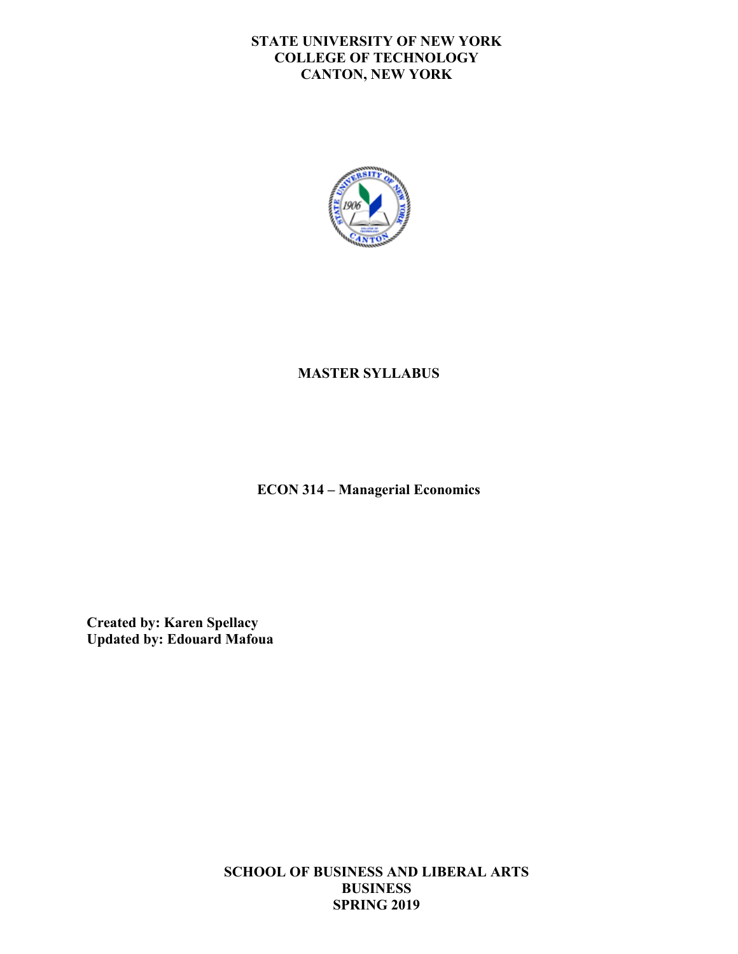### **STATE UNIVERSITY OF NEW YORK COLLEGE OF TECHNOLOGY CANTON, NEW YORK**



## **MASTER SYLLABUS**

 **ECON 314 – Managerial Economics** 

**Created by: Karen Spellacy Updated by: Edouard Mafoua** 

> **SCHOOL OF BUSINESS AND LIBERAL ARTS BUSINESS SPRING 2019**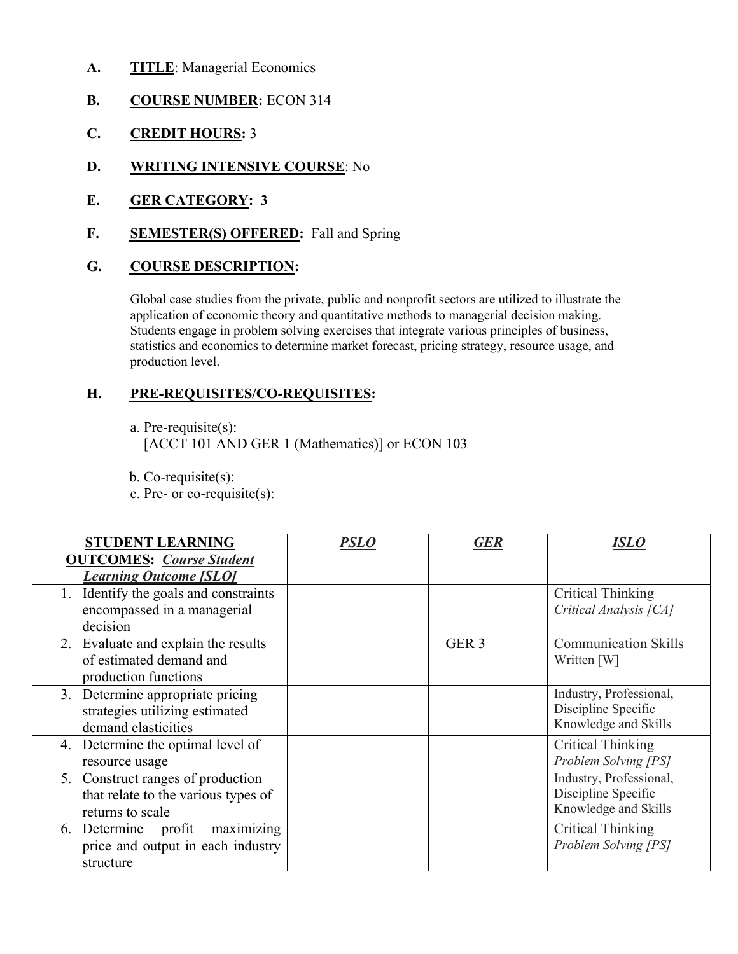- **A. TITLE**: Managerial Economics
- **B. COURSE NUMBER:** ECON 314
- **C. CREDIT HOURS:** 3
- **D. WRITING INTENSIVE COURSE**: No
- **E. GER CATEGORY: 3**
- **F. SEMESTER(S) OFFERED:** Fall and Spring

## **G. COURSE DESCRIPTION:**

 Global case studies from the private, public and nonprofit sectors are utilized to illustrate the application of economic theory and quantitative methods to managerial decision making. Students engage in problem solving exercises that integrate various principles of business, production level. statistics and economics to determine market forecast, pricing strategy, resource usage, and

## **H. PRE-REQUISITES/CO-REQUISITES:**

a. Pre-requisite(s):

[ACCT 101 AND GER 1 (Mathematics)] or ECON 103

b. Co-requisite(s):

c. Pre- or co-requisite(s):

| <b>STUDENT LEARNING</b>               | PSLO | GER              | ISLO                        |
|---------------------------------------|------|------------------|-----------------------------|
| <b>OUTCOMES:</b> Course Student       |      |                  |                             |
| <b>Learning Outcome [SLO]</b>         |      |                  |                             |
| 1. Identify the goals and constraints |      |                  | Critical Thinking           |
| encompassed in a managerial           |      |                  | Critical Analysis [CA]      |
| decision                              |      |                  |                             |
| 2. Evaluate and explain the results   |      | GER <sub>3</sub> | <b>Communication Skills</b> |
| of estimated demand and               |      |                  | Written [W]                 |
| production functions                  |      |                  |                             |
| 3. Determine appropriate pricing      |      |                  | Industry, Professional,     |
| strategies utilizing estimated        |      |                  | Discipline Specific         |
| demand elasticities                   |      |                  | Knowledge and Skills        |
| 4. Determine the optimal level of     |      |                  | <b>Critical Thinking</b>    |
| resource usage                        |      |                  | Problem Solving [PS]        |
| 5. Construct ranges of production     |      |                  | Industry, Professional,     |
| that relate to the various types of   |      |                  | Discipline Specific         |
| returns to scale                      |      |                  | Knowledge and Skills        |
| maximizing<br>6. Determine profit     |      |                  | Critical Thinking           |
| price and output in each industry     |      |                  | Problem Solving [PS]        |
| structure                             |      |                  |                             |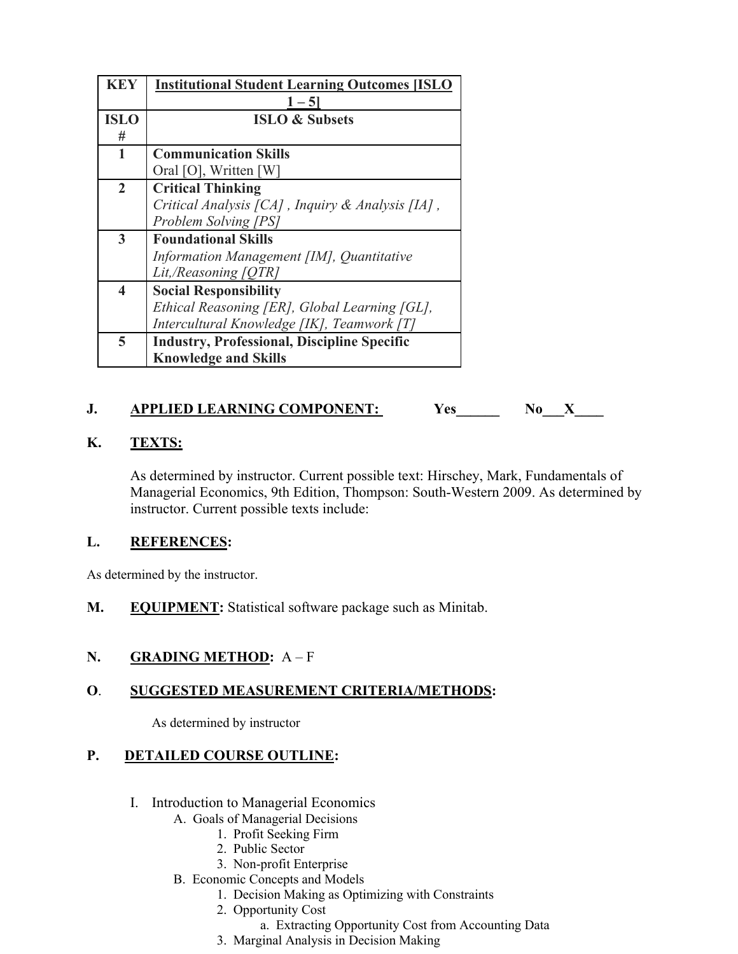| <b>KEY</b>              | <b>Institutional Student Learning Outcomes [ISLO</b> |
|-------------------------|------------------------------------------------------|
|                         | $1 - 5$                                              |
| <b>ISLO</b>             | <b>ISLO &amp; Subsets</b>                            |
| #                       |                                                      |
| 1                       | <b>Communication Skills</b>                          |
|                         | Oral [O], Written [W]                                |
| $\overline{2}$          | <b>Critical Thinking</b>                             |
|                         | Critical Analysis [CA], Inquiry & Analysis [IA],     |
|                         | Problem Solving [PS]                                 |
| 3                       | <b>Foundational Skills</b>                           |
|                         | Information Management [IM], Quantitative            |
|                         | Lit,/Reasoning [QTR]                                 |
| $\overline{\mathbf{4}}$ | <b>Social Responsibility</b>                         |
|                         | Ethical Reasoning [ER], Global Learning [GL],        |
|                         | Intercultural Knowledge [IK], Teamwork [T]           |
| 5                       | <b>Industry, Professional, Discipline Specific</b>   |
|                         | <b>Knowledge and Skills</b>                          |

# **1.** APPLIED LEARNING COMPONENT: Yes No\_\_\_\_\_\_ No\_\_\_\_\_ X\_\_\_

### **K. TEXTS:**

 instructor. Current possible texts include: As determined by instructor. Current possible text: Hirschey, Mark, Fundamentals of Managerial Economics, 9th Edition, Thompson: South-Western 2009. As determined by

#### **L. REFERENCES:**

As determined by the instructor.

**M. EQUIPMENT:** Statistical software package such as Minitab.

### **N. GRADING METHOD:** A – F

#### **O**. **SUGGESTED MEASUREMENT CRITERIA/METHODS:**

As determined by instructor

#### **P. DETAILED COURSE OUTLINE:**

- I. Introduction to Managerial Economics
	- A. Goals of Managerial Decisions
		- 1. Profit Seeking Firm
		- 2. Public Sector
		- 3. Non-profit Enterprise
	- B. Economic Concepts and Models
		- 1. Decision Making as Optimizing with Constraints
		- 2. Opportunity Cost
			- a. Extracting Opportunity Cost from Accounting Data
		- 3. Marginal Analysis in Decision Making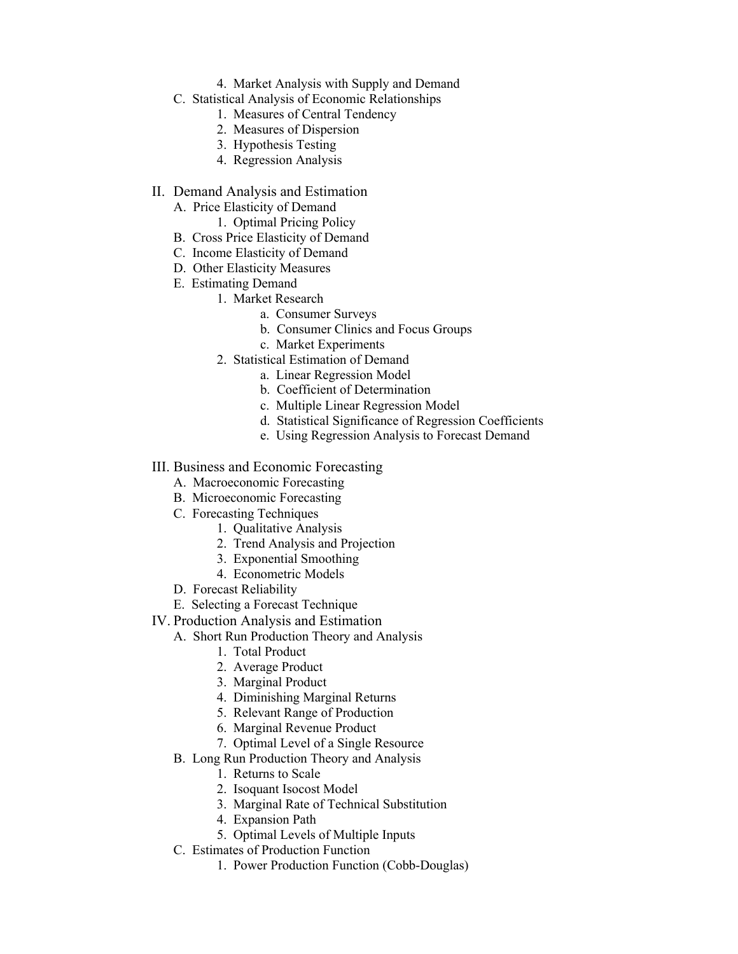- 4. Market Analysis with Supply and Demand
- C. Statistical Analysis of Economic Relationships
	- 1. Measures of Central Tendency
	- 2. Measures of Dispersion
	- 3. Hypothesis Testing
	- 4. Regression Analysis
- II. Demand Analysis and Estimation
	- A. Price Elasticity of Demand
		- 1. Optimal Pricing Policy
	- B. Cross Price Elasticity of Demand
	- C. Income Elasticity of Demand
	- D. Other Elasticity Measures
	- E. Estimating Demand
		- 1. Market Research
			- a. Consumer Surveys
			- b. Consumer Clinics and Focus Groups
			- c. Market Experiments
			- 2. Statistical Estimation of Demand
				- a. Linear Regression Model
				- b. Coefficient of Determination
				- c. Multiple Linear Regression Model
				- d. Statistical Significance of Regression Coefficients
				- e. Using Regression Analysis to Forecast Demand

#### III. Business and Economic Forecasting

- A. Macroeconomic Forecasting
- B. Microeconomic Forecasting
- C. Forecasting Techniques
	- 1. Qualitative Analysis
	- 2. Trend Analysis and Projection
	- 3. Exponential Smoothing
	- 4. Econometric Models
- D. Forecast Reliability
- E. Selecting a Forecast Technique
- IV. Production Analysis and Estimation
	- A. Short Run Production Theory and Analysis
		- 1. Total Product
		- 2. Average Product
		- 3. Marginal Product
		- 4. Diminishing Marginal Returns
		- 5. Relevant Range of Production
		- 6. Marginal Revenue Product
		- 7. Optimal Level of a Single Resource
	- B. Long Run Production Theory and Analysis
		- 1. Returns to Scale
		- 2. Isoquant Isocost Model
		- 3. Marginal Rate of Technical Substitution
		- 4. Expansion Path
		- 5. Optimal Levels of Multiple Inputs
	- C. Estimates of Production Function
		- 1. Power Production Function (Cobb-Douglas)